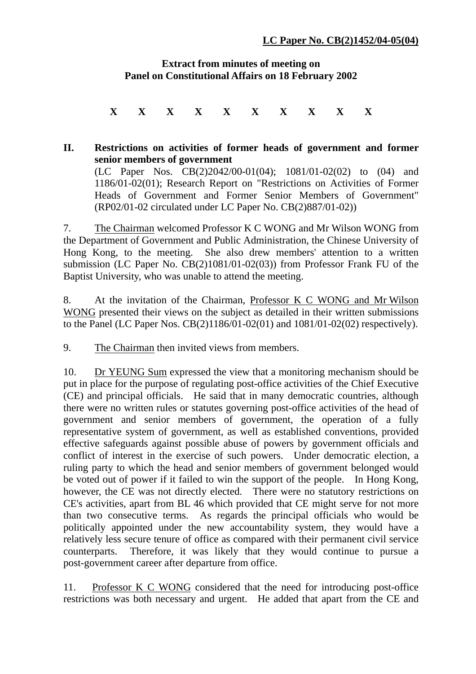## **Extract from minutes of meeting on Panel on Constitutional Affairs on 18 February 2002**

**X X X X X X X X X X** 

## **II. Restrictions on activities of former heads of government and former senior members of government**  (LC Paper Nos. CB(2)2042/00-01(04); 1081/01-02(02) to (04) and 1186/01-02(01); Research Report on "Restrictions on Activities of Former Heads of Government and Former Senior Members of Government"

(RP02/01-02 circulated under LC Paper No. CB(2)887/01-02))

7. The Chairman welcomed Professor K C WONG and Mr Wilson WONG from the Department of Government and Public Administration, the Chinese University of Hong Kong, to the meeting. She also drew members' attention to a written submission (LC Paper No. CB(2)1081/01-02(03)) from Professor Frank FU of the Baptist University, who was unable to attend the meeting.

8. At the invitation of the Chairman, Professor K C WONG and Mr Wilson WONG presented their views on the subject as detailed in their written submissions to the Panel (LC Paper Nos. CB(2)1186/01-02(01) and 1081/01-02(02) respectively).

9. The Chairman then invited views from members.

10. Dr YEUNG Sum expressed the view that a monitoring mechanism should be put in place for the purpose of regulating post-office activities of the Chief Executive (CE) and principal officials. He said that in many democratic countries, although there were no written rules or statutes governing post-office activities of the head of government and senior members of government, the operation of a fully representative system of government, as well as established conventions, provided effective safeguards against possible abuse of powers by government officials and conflict of interest in the exercise of such powers. Under democratic election, a ruling party to which the head and senior members of government belonged would be voted out of power if it failed to win the support of the people. In Hong Kong, however, the CE was not directly elected. There were no statutory restrictions on CE's activities, apart from BL 46 which provided that CE might serve for not more than two consecutive terms. As regards the principal officials who would be politically appointed under the new accountability system, they would have a relatively less secure tenure of office as compared with their permanent civil service counterparts. Therefore, it was likely that they would continue to pursue a post-government career after departure from office.

11. Professor K C WONG considered that the need for introducing post-office restrictions was both necessary and urgent. He added that apart from the CE and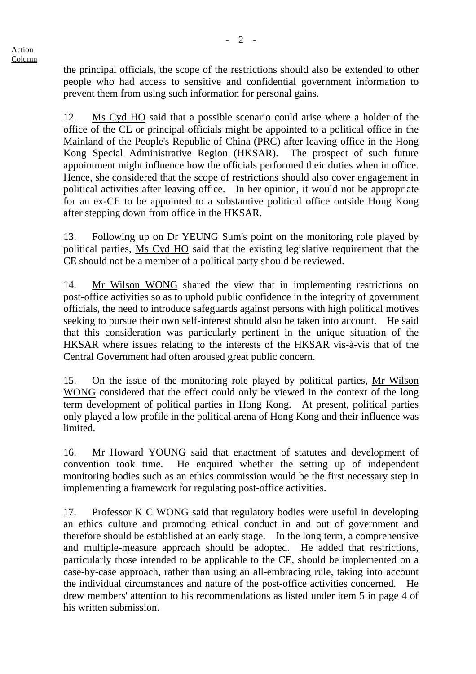the principal officials, the scope of the restrictions should also be extended to other people who had access to sensitive and confidential government information to prevent them from using such information for personal gains.

12. Ms Cyd HO said that a possible scenario could arise where a holder of the office of the CE or principal officials might be appointed to a political office in the Mainland of the People's Republic of China (PRC) after leaving office in the Hong Kong Special Administrative Region (HKSAR). The prospect of such future appointment might influence how the officials performed their duties when in office. Hence, she considered that the scope of restrictions should also cover engagement in political activities after leaving office. In her opinion, it would not be appropriate for an ex-CE to be appointed to a substantive political office outside Hong Kong after stepping down from office in the HKSAR.

13. Following up on Dr YEUNG Sum's point on the monitoring role played by political parties, Ms Cyd HO said that the existing legislative requirement that the CE should not be a member of a political party should be reviewed.

14. Mr Wilson WONG shared the view that in implementing restrictions on post-office activities so as to uphold public confidence in the integrity of government officials, the need to introduce safeguards against persons with high political motives seeking to pursue their own self-interest should also be taken into account. He said that this consideration was particularly pertinent in the unique situation of the HKSAR where issues relating to the interests of the HKSAR vis-à-vis that of the Central Government had often aroused great public concern.

15. On the issue of the monitoring role played by political parties, Mr Wilson WONG considered that the effect could only be viewed in the context of the long term development of political parties in Hong Kong. At present, political parties only played a low profile in the political arena of Hong Kong and their influence was **limited** 

16. Mr Howard YOUNG said that enactment of statutes and development of convention took time. He enquired whether the setting up of independent monitoring bodies such as an ethics commission would be the first necessary step in implementing a framework for regulating post-office activities.

17. Professor K C WONG said that regulatory bodies were useful in developing an ethics culture and promoting ethical conduct in and out of government and therefore should be established at an early stage. In the long term, a comprehensive and multiple-measure approach should be adopted. He added that restrictions, particularly those intended to be applicable to the CE, should be implemented on a case-by-case approach, rather than using an all-embracing rule, taking into account the individual circumstances and nature of the post-office activities concerned. He drew members' attention to his recommendations as listed under item 5 in page 4 of his written submission.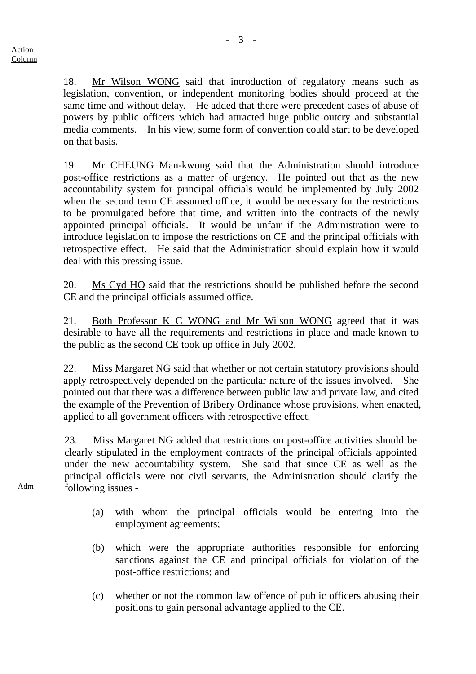18. Mr Wilson WONG said that introduction of regulatory means such as legislation, convention, or independent monitoring bodies should proceed at the same time and without delay. He added that there were precedent cases of abuse of powers by public officers which had attracted huge public outcry and substantial media comments. In his view, some form of convention could start to be developed on that basis.

19. Mr CHEUNG Man-kwong said that the Administration should introduce post-office restrictions as a matter of urgency. He pointed out that as the new accountability system for principal officials would be implemented by July 2002 when the second term CE assumed office, it would be necessary for the restrictions to be promulgated before that time, and written into the contracts of the newly appointed principal officials. It would be unfair if the Administration were to introduce legislation to impose the restrictions on CE and the principal officials with retrospective effect. He said that the Administration should explain how it would deal with this pressing issue.

20. Ms Cyd HO said that the restrictions should be published before the second CE and the principal officials assumed office.

21. Both Professor K C WONG and Mr Wilson WONG agreed that it was desirable to have all the requirements and restrictions in place and made known to the public as the second CE took up office in July 2002.

22. Miss Margaret NG said that whether or not certain statutory provisions should apply retrospectively depended on the particular nature of the issues involved. She pointed out that there was a difference between public law and private law, and cited the example of the Prevention of Bribery Ordinance whose provisions, when enacted, applied to all government officers with retrospective effect.

23. Miss Margaret NG added that restrictions on post-office activities should be clearly stipulated in the employment contracts of the principal officials appointed under the new accountability system. She said that since CE as well as the principal officials were not civil servants, the Administration should clarify the following issues -

 (a) with whom the principal officials would be entering into the employment agreements;

- (b) which were the appropriate authorities responsible for enforcing sanctions against the CE and principal officials for violation of the post-office restrictions; and
- (c) whether or not the common law offence of public officers abusing their positions to gain personal advantage applied to the CE.

Adm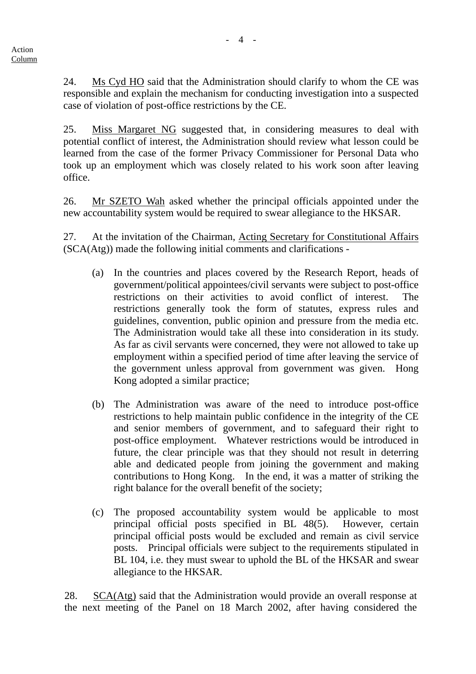24. Ms Cyd HO said that the Administration should clarify to whom the CE was responsible and explain the mechanism for conducting investigation into a suspected case of violation of post-office restrictions by the CE.

25. Miss Margaret NG suggested that, in considering measures to deal with potential conflict of interest, the Administration should review what lesson could be learned from the case of the former Privacy Commissioner for Personal Data who took up an employment which was closely related to his work soon after leaving office.

26. Mr SZETO Wah asked whether the principal officials appointed under the new accountability system would be required to swear allegiance to the HKSAR.

27. At the invitation of the Chairman, Acting Secretary for Constitutional Affairs (SCA(Atg)) made the following initial comments and clarifications -

- (a) In the countries and places covered by the Research Report, heads of government/political appointees/civil servants were subject to post-office restrictions on their activities to avoid conflict of interest. The restrictions generally took the form of statutes, express rules and guidelines, convention, public opinion and pressure from the media etc. The Administration would take all these into consideration in its study. As far as civil servants were concerned, they were not allowed to take up employment within a specified period of time after leaving the service of the government unless approval from government was given. Hong Kong adopted a similar practice;
- (b) The Administration was aware of the need to introduce post-office restrictions to help maintain public confidence in the integrity of the CE and senior members of government, and to safeguard their right to post-office employment. Whatever restrictions would be introduced in future, the clear principle was that they should not result in deterring able and dedicated people from joining the government and making contributions to Hong Kong. In the end, it was a matter of striking the right balance for the overall benefit of the society;
- (c) The proposed accountability system would be applicable to most principal official posts specified in BL 48(5). However, certain principal official posts would be excluded and remain as civil service posts. Principal officials were subject to the requirements stipulated in BL 104, i.e. they must swear to uphold the BL of the HKSAR and swear allegiance to the HKSAR.

28. SCA(Atg) said that the Administration would provide an overall response at the next meeting of the Panel on 18 March 2002, after having considered the